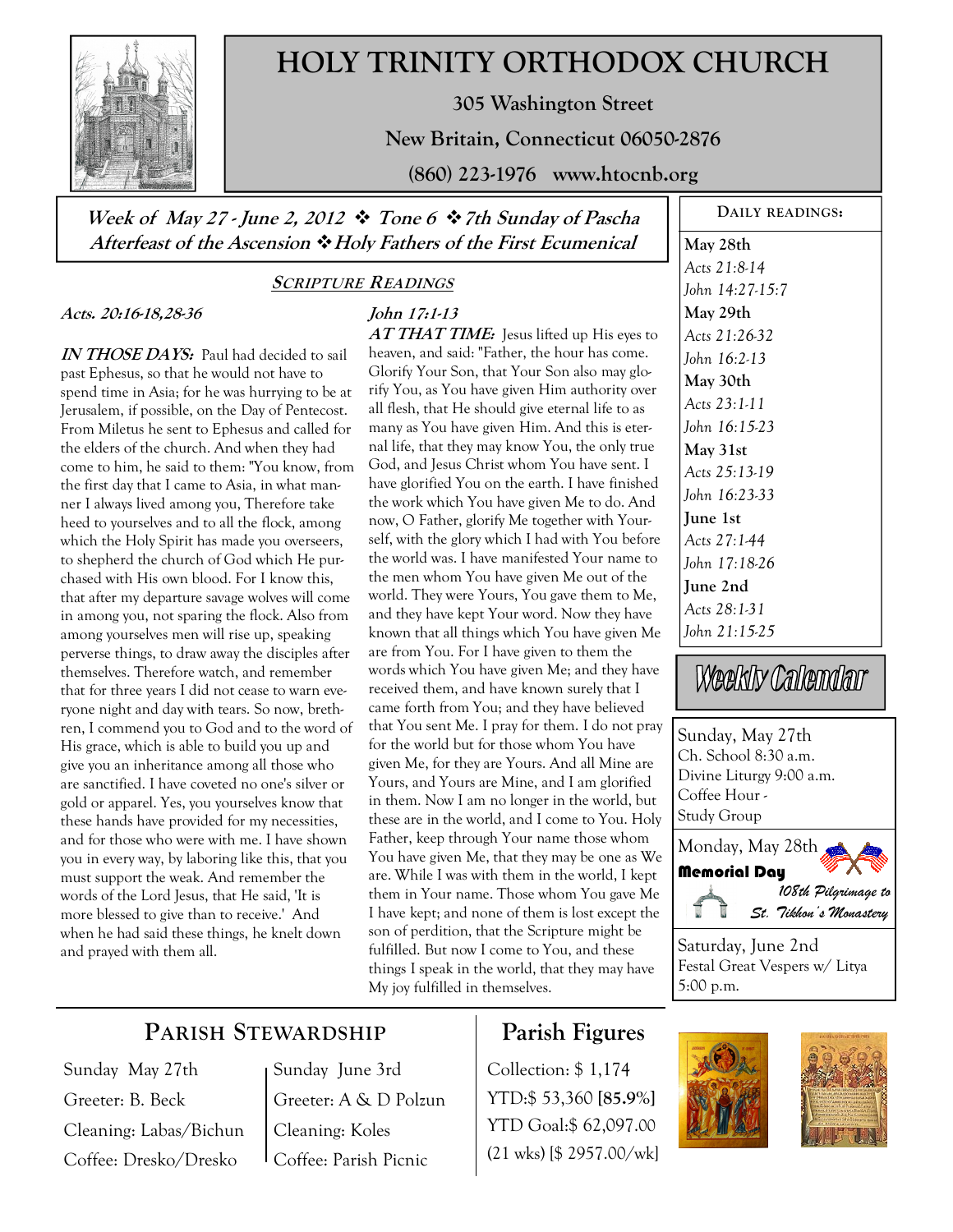

# **HOLY TRINITY ORTHODOX CHURCH**

**305 Washington Street** 

**New Britain, Connecticut 06050-2876** 

**(860) 223-1976 www.htocnb.org** 

### **Week of May 27 - June 2, 2012 Tone 6 7th Sunday of Pascha Afterfeast of the Ascension Holy Fathers of the First Ecumenical**

#### **SCRIPTURE READINGS**

**John 17:1-13** 

#### **Acts. 20:16-18,28-36**

**IN THOSE DAYS:** Paul had decided to sail past Ephesus, so that he would not have to spend time in Asia; for he was hurrying to be at Jerusalem, if possible, on the Day of Pentecost. From Miletus he sent to Ephesus and called for the elders of the church. And when they had come to him, he said to them: "You know, from the first day that I came to Asia, in what manner I always lived among you, Therefore take heed to yourselves and to all the flock, among which the Holy Spirit has made you overseers, to shepherd the church of God which He purchased with His own blood. For I know this, that after my departure savage wolves will come in among you, not sparing the flock. Also from among yourselves men will rise up, speaking perverse things, to draw away the disciples after themselves. Therefore watch, and remember that for three years I did not cease to warn everyone night and day with tears. So now, brethren, I commend you to God and to the word of His grace, which is able to build you up and give you an inheritance among all those who are sanctified. I have coveted no one's silver or gold or apparel. Yes, you yourselves know that these hands have provided for my necessities, and for those who were with me. I have shown you in every way, by laboring like this, that you must support the weak. And remember the words of the Lord Jesus, that He said, 'It is more blessed to give than to receive.' And when he had said these things, he knelt down and prayed with them all.

**AT THAT TIME:** Jesus lifted up His eyes to heaven, and said: "Father, the hour has come. Glorify Your Son, that Your Son also may glorify You, as You have given Him authority over all flesh, that He should give eternal life to as many as You have given Him. And this is eternal life, that they may know You, the only true God, and Jesus Christ whom You have sent. I have glorified You on the earth. I have finished the work which You have given Me to do. And now, O Father, glorify Me together with Yourself, with the glory which I had with You before the world was. I have manifested Your name to the men whom You have given Me out of the world. They were Yours, You gave them to Me, and they have kept Your word. Now they have known that all things which You have given Me are from You. For I have given to them the words which You have given Me; and they have received them, and have known surely that I came forth from You; and they have believed that You sent Me. I pray for them. I do not pray for the world but for those whom You have given Me, for they are Yours. And all Mine are Yours, and Yours are Mine, and I am glorified in them. Now I am no longer in the world, but these are in the world, and I come to You. Holy Father, keep through Your name those whom You have given Me, that they may be one as We are. While I was with them in the world, I kept them in Your name. Those whom You gave Me I have kept; and none of them is lost except the son of perdition, that the Scripture might be fulfilled. But now I come to You, and these things I speak in the world, that they may have My joy fulfilled in themselves.

**DAILY READINGS:** 

**May 28th**  *Acts 21:8-14 John 14:27-15:7*  **May 29th**  *Acts 21:26-32 John 16:2-13*  **May 30th**  *Acts 23:1-11 John 16:15-23*  **May 31st**  *Acts 25:13-19 John 16:23-33*  **June 1st**  *Acts 27:1-44 John 17:18-26*  **June 2nd**  *Acts 28:1-31 John 21:15-25* 

Weekly Calendar

Sunday, May 27th Ch. School 8:30 a.m. Divine Liturgy 9:00 a.m. Coffee Hour - Study Group Monday, May 28th



Saturday, June 2nd Festal Great Vespers w/ Litya 5:00 p.m.



## Sunday May 27th Greeter: B. Beck Cleaning: Labas/Bichun Coffee: Dresko/Dresko

Sunday June 3rd Greeter: A & D Polzun Cleaning: Koles Coffee: Parish Picnic

# **Parish Figures**

Collection: \$ 1,174 YTD:\$ 53,360 **[85.9%]** YTD Goal:\$ 62,097.00 (21 wks) [\$ 2957.00/wk]